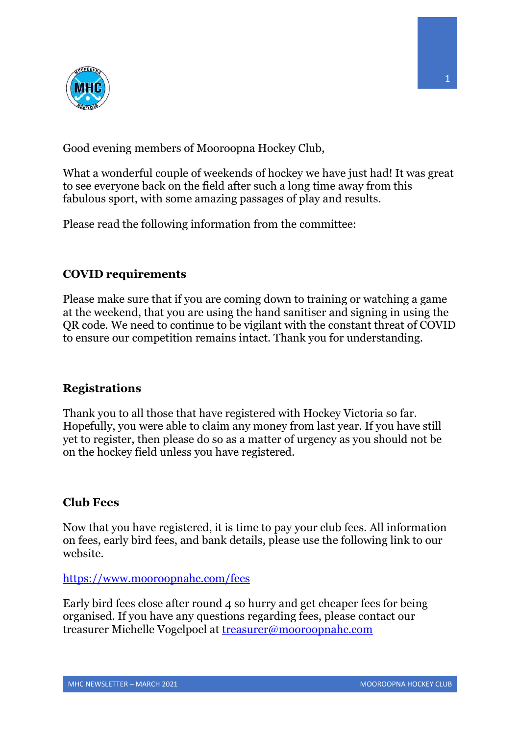

Good evening members of Mooroopna Hockey Club,

What a wonderful couple of weekends of hockey we have just had! It was great to see everyone back on the field after such a long time away from this fabulous sport, with some amazing passages of play and results.

Please read the following information from the committee:

# **COVID requirements**

Please make sure that if you are coming down to training or watching a game at the weekend, that you are using the hand sanitiser and signing in using the QR code. We need to continue to be vigilant with the constant threat of COVID to ensure our competition remains intact. Thank you for understanding.

# **Registrations**

Thank you to all those that have registered with Hockey Victoria so far. Hopefully, you were able to claim any money from last year. If you have still yet to register, then please do so as a matter of urgency as you should not be on the hockey field unless you have registered.

### **Club Fees**

Now that you have registered, it is time to pay your club fees. All information on fees, early bird fees, and bank details, please use the following link to our website.

https://www.mooroopnahc.com/fees

Early bird fees close after round 4 so hurry and get cheaper fees for being organised. If you have any questions regarding fees, please contact our treasurer Michelle Vogelpoel at treasurer@mooroopnahc.com